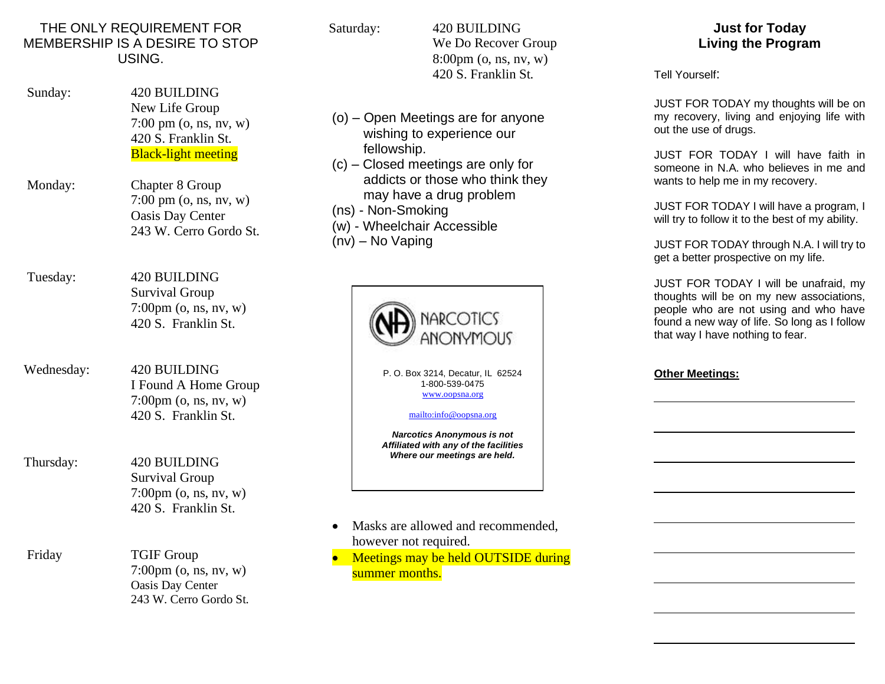## THE ONLY REQUIREMENT FOR MEMBERSHIP IS A DESIRE TO STOP USING.

- Sunday: 420 BUILDING New Life Group 7:00 pm (o, ns, nv, w) 420 S. Franklin St. Black-light meeting
- Monday: Chapter 8 Group 7:00 pm (o, ns, nv, w) Oasis Day Center 243 W. Cerro Gordo St.

 Tuesday: 420 BUILDING Survival Group 7:00pm (o, ns, nv, w) 420 S. Franklin St.

- Wednesday: 420 BUILDING I Found A Home Group 7:00pm (o, ns, nv, w) 420 S. Franklin St.
- Thursday: 420 BUILDING Survival Group 7:00pm (o, ns, nv, w) 420 S. Franklin St.
- Friday TGIF Group 7:00pm (o, ns, nv, w) Oasis Day Center 243 W. Cerro Gordo St.

Saturday: 420 BUILDING

We Do Recover Group 8:00pm (o, ns, nv, w) 420 S. Franklin St.

- (o) Open Meetings are for anyone wishing to experience our fellowship.
- (c) Closed meetings are only for addicts or those who think they may have a drug problem
- (ns) Non-Smoking
- (w) Wheelchair Accessible
- (nv) No Vaping



- Masks are allowed and recommended, however not required.
- Meetings may be held OUTSIDE during summer months.

**Just for Today Living the Program**

Tell Yourself:

JUST FOR TODAY my thoughts will be on my recovery, living and enjoying life with out the use of drugs.

JUST FOR TODAY I will have faith in someone in N.A. who believes in me and wants to help me in my recovery.

JUST FOR TODAY I will have a program, I will try to follow it to the best of my ability.

JUST FOR TODAY through N.A. I will try to get a better prospective on my life.

JUST FOR TODAY I will be unafraid, my thoughts will be on my new associations, people who are not using and who have found a new way of life. So long as I follow that way I have nothing to fear.

## **Other Meetings:**